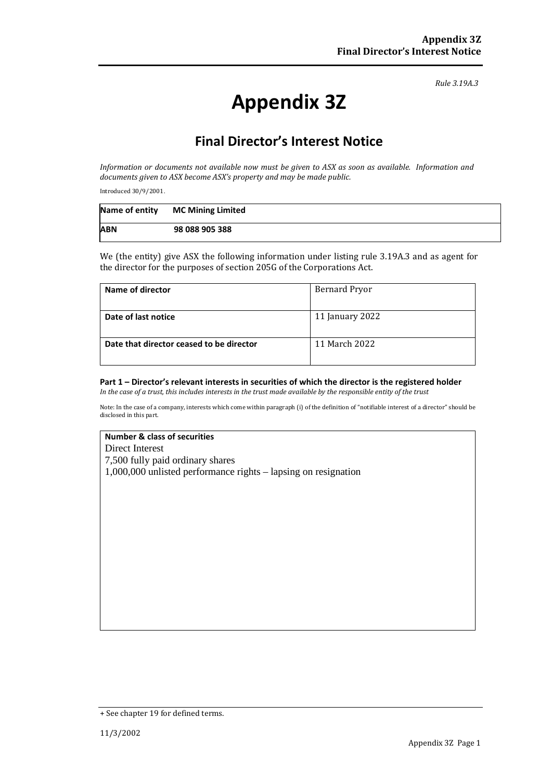*Rule 3.19A.3*

# **Appendix 3Z**

## **Final Director's Interest Notice**

*Information or documents not available now must be given to ASX as soon as available. Information and documents given to ASX become ASX's property and may be made public.*

Introduced 30/9/2001.

| Name of entity | <b>MC Mining Limited</b> |
|----------------|--------------------------|
| <b>ABN</b>     | 98 088 905 388           |

We (the entity) give ASX the following information under listing rule 3.19A.3 and as agent for the director for the purposes of section 205G of the Corporations Act.

| Name of director                         | <b>Bernard Pryor</b> |
|------------------------------------------|----------------------|
| Date of last notice                      | 11 January 2022      |
| Date that director ceased to be director | 11 March 2022        |

### **Part 1 – Director's relevant interests in securities of which the director is the registered holder**

*In the case of a trust, this includes interests in the trust made available by the responsible entity of the trust*

Note: In the case of a company, interests which come within paragraph (i) of the definition of "notifiable interest of a director" should be disclosed in this part.

#### **Number & class of securities**

Direct Interest 7,500 fully paid ordinary shares 1,000,000 unlisted performance rights – lapsing on resignation

<sup>+</sup> See chapter 19 for defined terms.